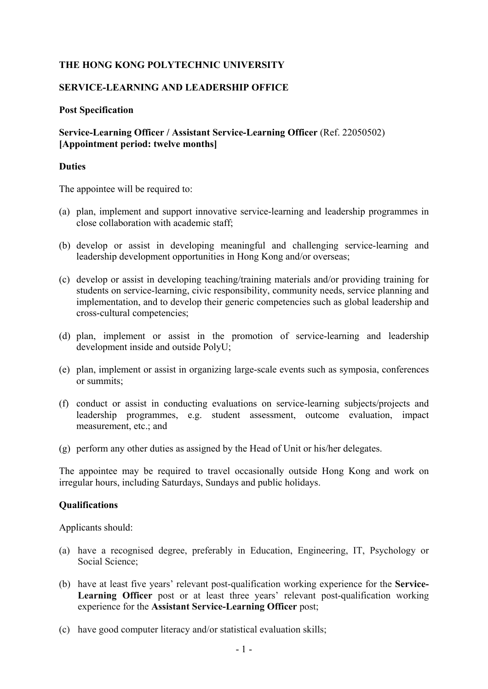# **THE HONG KONG POLYTECHNIC UNIVERSITY**

### **SERVICE-LEARNING AND LEADERSHIP OFFICE**

#### **Post Specification**

# **Service-Learning Officer / Assistant Service-Learning Officer** (Ref. 22050502) **[Appointment period: twelve months]**

### **Duties**

The appointee will be required to:

- (a) plan, implement and support innovative service-learning and leadership programmes in close collaboration with academic staff;
- (b) develop or assist in developing meaningful and challenging service-learning and leadership development opportunities in Hong Kong and/or overseas;
- (c) develop or assist in developing teaching/training materials and/or providing training for students on service-learning, civic responsibility, community needs, service planning and implementation, and to develop their generic competencies such as global leadership and cross-cultural competencies;
- (d) plan, implement or assist in the promotion of service-learning and leadership development inside and outside PolyU;
- (e) plan, implement or assist in organizing large-scale events such as symposia, conferences or summits;
- (f) conduct or assist in conducting evaluations on service-learning subjects/projects and leadership programmes, e.g. student assessment, outcome evaluation, impact measurement, etc.; and
- (g) perform any other duties as assigned by the Head of Unit or his/her delegates.

The appointee may be required to travel occasionally outside Hong Kong and work on irregular hours, including Saturdays, Sundays and public holidays.

#### **Qualifications**

Applicants should:

- (a) have a recognised degree, preferably in Education, Engineering, IT, Psychology or Social Science;
- (b) have at least five years' relevant post-qualification working experience for the **Service-Learning Officer** post or at least three years' relevant post-qualification working experience for the **Assistant Service-Learning Officer** post;
- (c) have good computer literacy and/or statistical evaluation skills;